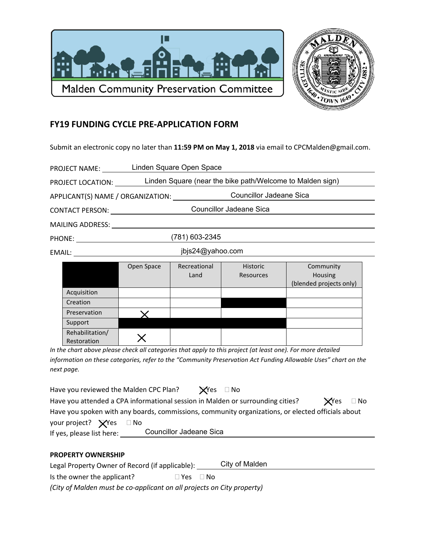



## **FY19 FUNDING CYCLE PRE-APPLICATION FORM**

Submit an electronic copy no later than 11:59 PM on May 1, 2018 via email to CPCMalden@gmail.com.

| <b>PROJECT NAME:</b>              | Linden Square Open Space                                  |                      |                              |                                                                                                                                                                                                                                                          |  |  |
|-----------------------------------|-----------------------------------------------------------|----------------------|------------------------------|----------------------------------------------------------------------------------------------------------------------------------------------------------------------------------------------------------------------------------------------------------|--|--|
| PROJECT LOCATION:                 | Linden Square (near the bike path/Welcome to Malden sign) |                      |                              |                                                                                                                                                                                                                                                          |  |  |
| APPLICANT(S) NAME / ORGANIZATION: |                                                           |                      |                              | <b>Councillor Jadeane Sica</b>                                                                                                                                                                                                                           |  |  |
| <b>CONTACT PERSON:</b>            | Councillor Jadeane Sica                                   |                      |                              |                                                                                                                                                                                                                                                          |  |  |
| <b>MAILING ADDRESS:</b>           |                                                           |                      |                              |                                                                                                                                                                                                                                                          |  |  |
| PHONE: ________________           | (781) 603-2345                                            |                      |                              |                                                                                                                                                                                                                                                          |  |  |
|                                   |                                                           | jbjs24@yahoo.com     |                              |                                                                                                                                                                                                                                                          |  |  |
|                                   | Open Space                                                | Recreational<br>Land | <b>Historic</b><br>Resources | Community<br>Housing<br>$\mathbf{r}$ , and the set of the set of the set of the set of the set of the set of the set of the set of the set of the set of the set of the set of the set of the set of the set of the set of the set of the set of the set |  |  |

|                  |   | Land                                                                                                                                                                                                                              | Resources | Housing<br>(blended projects only) |
|------------------|---|-----------------------------------------------------------------------------------------------------------------------------------------------------------------------------------------------------------------------------------|-----------|------------------------------------|
| Acquisition      |   |                                                                                                                                                                                                                                   |           |                                    |
| Creation         |   |                                                                                                                                                                                                                                   |           |                                    |
| Preservation     |   |                                                                                                                                                                                                                                   |           |                                    |
| Support          |   |                                                                                                                                                                                                                                   |           |                                    |
| Rehabilitation/  |   |                                                                                                                                                                                                                                   |           |                                    |
| Restoration<br>. | . | $\mathbf{r}$ . The contract of the contract of the contract of the contract of the contract of the contract of the contract of the contract of the contract of the contract of the contract of the contract of the contract of th |           | .<br>$\cdot$ $-$                   |

In the chart above please check all categories that apply to this project (at least one). For more detailed information on these categories, refer to the "Community Preservation Act Funding Allowable Uses" chart on the next page.

| Have you reviewed the Malden CPC Plan?                                                            |                         | $\bigtimes$ Yes $\Box$ No |  |              |           |
|---------------------------------------------------------------------------------------------------|-------------------------|---------------------------|--|--------------|-----------|
| Have you attended a CPA informational session in Malden or surrounding cities?                    |                         |                           |  | <b>X</b> Yes | $\Box$ No |
| Have you spoken with any boards, commissions, community organizations, or elected officials about |                         |                           |  |              |           |
| your project? $\bigtimes$ Yes $\Box$ No                                                           |                         |                           |  |              |           |
| If yes, please list here:                                                                         | Councillor Jadeane Sica |                           |  |              |           |

## **PROPERTY OWNERSHIP**

City of Malden Legal Property Owner of Record (if applicable): \_\_\_\_\_\_

Is the owner the applicant?  $\Box$  Yes  $\Box$  No

(City of Malden must be co-applicant on all projects on City property)